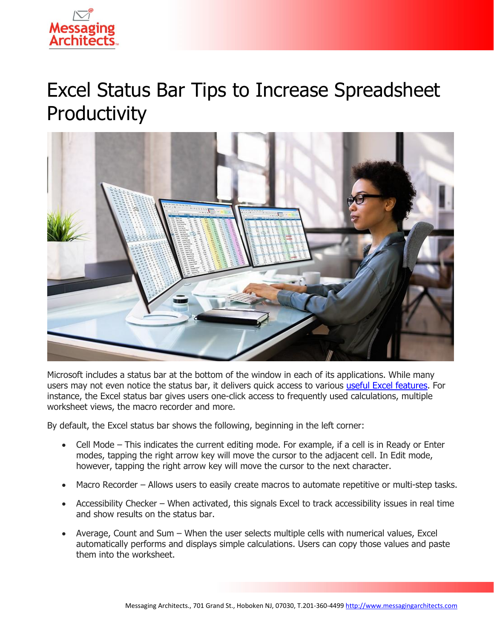

# Excel Status Bar Tips to Increase Spreadsheet **Productivity**



Microsoft includes a status bar at the bottom of the window in each of its applications. While many users may not even notice the status bar, it delivers quick access to various [useful Excel features.](https://www.emazzanti.net/linked-data-types-in-excel/) For instance, the Excel status bar gives users one-click access to frequently used calculations, multiple worksheet views, the macro recorder and more.

By default, the Excel status bar shows the following, beginning in the left corner:

- Cell Mode This indicates the current editing mode. For example, if a cell is in Ready or Enter modes, tapping the right arrow key will move the cursor to the adjacent cell. In Edit mode, however, tapping the right arrow key will move the cursor to the next character.
- Macro Recorder Allows users to easily create macros to automate repetitive or multi-step tasks.
- Accessibility Checker When activated, this signals Excel to track accessibility issues in real time and show results on the status bar.
- Average, Count and Sum When the user selects multiple cells with numerical values, Excel automatically performs and displays simple calculations. Users can copy those values and paste them into the worksheet.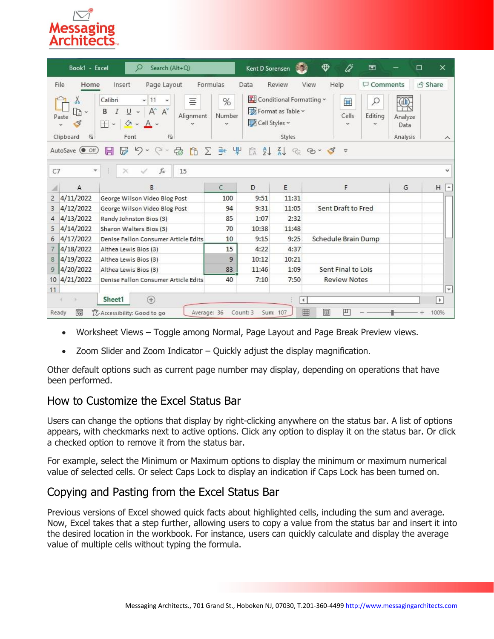

| Book1 - Excel                                                                                            | Search (Alt+Q)                       |                                                                          | Kent D Sorensen |                      | ⊕                          | 囨                           |                | $\times$<br>□            |  |  |  |
|----------------------------------------------------------------------------------------------------------|--------------------------------------|--------------------------------------------------------------------------|-----------------|----------------------|----------------------------|-----------------------------|----------------|--------------------------|--|--|--|
| File<br>Home                                                                                             | Formulas<br>Page Layout<br>Insert    | View<br>Help<br>Data<br>Review                                           |                 |                      | $\sqrt{ }$ Comments        |                             | <b>B</b> Share |                          |  |  |  |
| Λ<br>₽.<br>Paste<br>÷<br>Clipboard<br>$\overline{13}$                                                    | %<br>Alignment<br>Number<br>÷        | Conditional Formatting v<br>Format as Table ~<br>Cell Styles v<br>Styles |                 |                      | 圍<br>Q<br>Editing<br>Cells | Analyze<br>Data<br>Analysis | ᄉ              |                          |  |  |  |
| り、<br>品<br><b>白头乱 ⊗ ◎ √ ▽</b><br>V<br>$\sim$<br>Ëñ<br>AutoSave (O Off)<br>H<br>×                         |                                      |                                                                          |                 |                      |                            |                             |                |                          |  |  |  |
| $f_x$<br>C7<br>÷.<br>$\times$<br>ŵ<br>15                                                                 |                                      |                                                                          |                 |                      |                            |                             |                |                          |  |  |  |
| A                                                                                                        | B                                    | $\epsilon$                                                               | D               | E                    | F                          |                             | G              | H<br>$\vert$ $\sim$      |  |  |  |
| $\overline{2}$<br>4/11/2022                                                                              | George Wilson Video Blog Post        | 100                                                                      | 9:51            | 11:31                |                            |                             |                |                          |  |  |  |
| 4/12/2022<br>3                                                                                           | George Wilson Video Blog Post        | 94                                                                       | 9:31            | 11:05                | Sent Draft to Fred         |                             |                |                          |  |  |  |
| 4/13/2022<br>4                                                                                           | Randy Johnston Bios (3)              | 85                                                                       | 1:07            | 2:32                 |                            |                             |                |                          |  |  |  |
| 4/14/2022<br>5                                                                                           | Sharon Walters Bios (3)              | 70                                                                       | 10:38           | 11:48                |                            |                             |                |                          |  |  |  |
| 4/17/2022<br>6                                                                                           | Denise Fallon Consumer Article Edits | 10                                                                       | 9:15            | 9:25                 | Schedule Brain Dump        |                             |                |                          |  |  |  |
| 4/18/2022                                                                                                | Althea Lewis Bios (3)                | 15                                                                       | 4:22            | 4:37                 |                            |                             |                |                          |  |  |  |
| 4/19/2022<br>8                                                                                           | Althea Lewis Bios (3)                | $\mathbf{q}$                                                             | 10:12           | 10:21                |                            |                             |                |                          |  |  |  |
| 4/20/2022<br>9                                                                                           | Althea Lewis Bios (3)                | 83                                                                       | 11:46           | 1:09                 | Sent Final to Lois         |                             |                |                          |  |  |  |
| 4/21/2022<br>10                                                                                          | Denise Fallon Consumer Article Edits | 40                                                                       | 7:10            | 7:50                 | <b>Review Notes</b>        |                             |                |                          |  |  |  |
| 11                                                                                                       |                                      |                                                                          |                 |                      |                            |                             |                | $\overline{\phantom{a}}$ |  |  |  |
|                                                                                                          | $\bigoplus$<br>Sheet1                |                                                                          |                 | $\blacktriangleleft$ |                            |                             |                | $\mathbb{R}$             |  |  |  |
| 囲<br>间<br>凹<br>雨<br>TZ Accessibility: Good to go<br>Average: 36<br>Count: 3<br>Sum: 107<br>100%<br>Ready |                                      |                                                                          |                 |                      |                            |                             |                |                          |  |  |  |

- Worksheet Views Toggle among Normal, Page Layout and Page Break Preview views.
- Zoom Slider and Zoom Indicator Quickly adjust the display magnification.

Other default options such as current page number may display, depending on operations that have been performed.

### How to Customize the Excel Status Bar

Users can change the options that display by right-clicking anywhere on the status bar. A list of options appears, with checkmarks next to active options. Click any option to display it on the status bar. Or click a checked option to remove it from the status bar.

For example, select the Minimum or Maximum options to display the minimum or maximum numerical value of selected cells. Or select Caps Lock to display an indication if Caps Lock has been turned on.

## Copying and Pasting from the Excel Status Bar

Previous versions of Excel showed quick facts about highlighted cells, including the sum and average. Now, Excel takes that a step further, allowing users to copy a value from the status bar and insert it into the desired location in the workbook. For instance, users can quickly calculate and display the average value of multiple cells without typing the formula.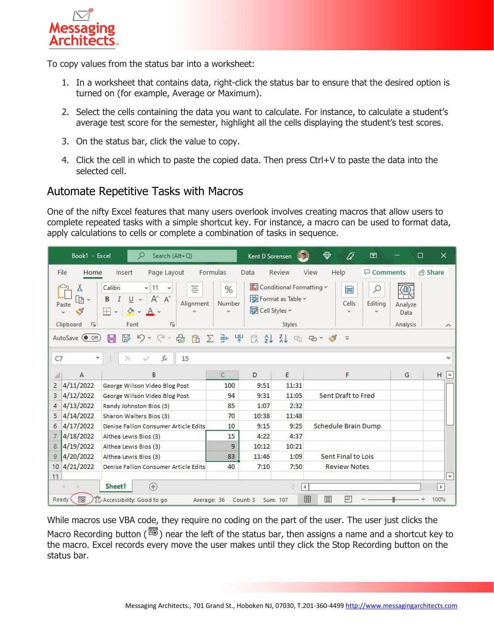

To copy values from the status bar into a worksheet:

- 1. In a worksheet that contains data, right-click the status bar to ensure that the desired option is turned on (for example, Average or Maximum).
- 2. Select the cells containing the data you want to calculate. For instance, to calculate a student's average test score for the semester, highlight all the cells displaying the student's test scores.
- 3. On the status bar, click the value to copy.
- 4. Click the cell in which to paste the copied data. Then press Ctrl+V to paste the data into the selected cell.

## Automate Repetitive Tasks with Macros

One of the nifty Excel features that many users overlook involves creating macros that allow users to complete repeated tasks with a simple shortcut key. For instance, a macro can be used to format data, apply calculations to cells or complete a combination of tasks in sequence.

| Book1 - Excel                                                                                      | Search (Alt+Q)                                                                                                                                                               |      | Kent D Sorensen        |                                                                          | ⊕                   | 囨                          |                             | ×<br>П       |  |  |  |
|----------------------------------------------------------------------------------------------------|------------------------------------------------------------------------------------------------------------------------------------------------------------------------------|------|------------------------|--------------------------------------------------------------------------|---------------------|----------------------------|-----------------------------|--------------|--|--|--|
| File<br>Home                                                                                       | Formulas<br>Page Layout<br>Insert                                                                                                                                            | Data | Review<br>View<br>Help |                                                                          |                     | <b>□</b> Comments          | <b>B</b> Share              |              |  |  |  |
| A<br>Paste<br>Clipboard<br>$\overline{N}$                                                          | Calibri<br>11<br>Ξ<br>%<br>$\checkmark$<br>$\checkmark$<br>$A^{\hat{}} A^{\hat{}}$<br>$U$ $\sim$<br>B<br>Alignment<br>Number.<br>$\mathbb{H}$ -<br>$A \times A$<br>反<br>Font |      |                        | Conditional Formatting ~<br>Format as Table ~<br>Cell Styles v<br>Styles |                     | 重<br>Q<br>Editing<br>Cells | Analyze<br>Data<br>Analysis | ∧            |  |  |  |
| ∑子中出出了 ◎ ◎ · 《 ·<br>り<br>品<br>AutoSave (O Off)<br>F<br>H<br>陆<br>$\checkmark$                      |                                                                                                                                                                              |      |                        |                                                                          |                     |                            |                             |              |  |  |  |
| C7<br>$\mathcal{C}$                                                                                | $f_x$<br>15<br>$\times$                                                                                                                                                      |      |                        |                                                                          |                     |                            |                             | $\checkmark$ |  |  |  |
| А                                                                                                  | B                                                                                                                                                                            | C    | D                      | E                                                                        | F                   |                            | G                           | H<br>LA.     |  |  |  |
| 4/11/2022<br>$\overline{2}$                                                                        | George Wilson Video Blog Post                                                                                                                                                | 100  | 9:51                   | 11:31                                                                    |                     |                            |                             |              |  |  |  |
| 4/12/2022<br>3                                                                                     | George Wilson Video Blog Post                                                                                                                                                | 94   | 9:31                   | 11:05                                                                    | Sent Draft to Fred  |                            |                             |              |  |  |  |
| 4/13/2022<br>4                                                                                     | Randy Johnston Bios (3)                                                                                                                                                      | 85   | 1:07                   | 2:32                                                                     |                     |                            |                             |              |  |  |  |
| 4/14/2022<br>5                                                                                     | Sharon Walters Bios (3)                                                                                                                                                      | 70   | 10:38                  | 11:48                                                                    |                     |                            |                             |              |  |  |  |
| 4/17/2022<br>6                                                                                     | Denise Fallon Consumer Article Edits                                                                                                                                         | 10   | 9:15                   | 9:25                                                                     |                     | Schedule Brain Dump        |                             |              |  |  |  |
| 4/18/2022<br>7                                                                                     | Althea Lewis Bios (3)                                                                                                                                                        | 15   | 4:22                   | 4:37                                                                     |                     |                            |                             |              |  |  |  |
| 4/19/2022<br>8                                                                                     | Althea Lewis Bios (3)                                                                                                                                                        | 9    | 10:12                  | 10:21                                                                    |                     |                            |                             |              |  |  |  |
| 4/20/2022<br>$\overline{Q}$                                                                        | Althea Lewis Bios (3)                                                                                                                                                        | 83   | 11:46                  | 1:09                                                                     | Sent Final to Lois  |                            |                             |              |  |  |  |
| 4/21/2022<br>10                                                                                    | Denise Fallon Consumer Article Edits                                                                                                                                         | 40   | 7:10                   | 7:50                                                                     | <b>Review Notes</b> |                            |                             |              |  |  |  |
| 11                                                                                                 |                                                                                                                                                                              |      |                        |                                                                          |                     |                            |                             | $\psi$       |  |  |  |
| $\circledast$<br>Sheet1<br>$\overline{A}$<br>$\mathbf{F}$                                          |                                                                                                                                                                              |      |                        |                                                                          |                     |                            |                             |              |  |  |  |
| 囲<br>圓<br>匹<br>L'Accessibility: Good to go<br>Ready<br>100%<br>Average: 36<br>Count: 3<br>Sum: 107 |                                                                                                                                                                              |      |                        |                                                                          |                     |                            |                             |              |  |  |  |

While macros use VBA code, they require no coding on the part of the user. The user just clicks the Macro Recording button ( $\overline{13}$ ) near the left of the status bar, then assigns a name and a shortcut key to the macro. Excel records every move the user makes until they click the Stop Recording button on the status bar.